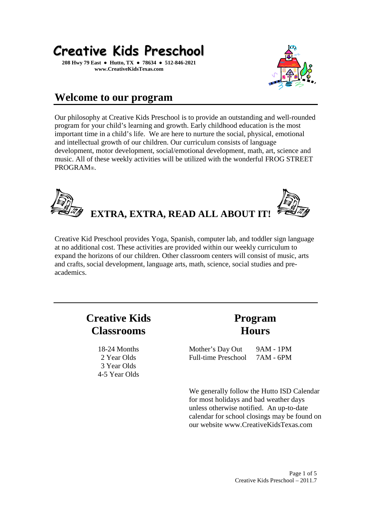

**208 Hwy 79 East ● Hutto, TX ● 78634 ● 512-846-2021 www.CreativeKidsTexas.com** 



### **Welcome to our program**

Our philosophy at Creative Kids Preschool is to provide an outstanding and well-rounded program for your child's learning and growth. Early childhood education is the most important time in a child's life. We are here to nurture the social, physical, emotional and intellectual growth of our children. Our curriculum consists of language development, motor development, social/emotional development, math, art, science and music. All of these weekly activities will be utilized with the wonderful FROG STREET PROGRAM®.



Creative Kid Preschool provides Yoga, Spanish, computer lab, and toddler sign language at no additional cost. These activities are provided within our weekly curriculum to expand the horizons of our children. Other classroom centers will consist of music, arts and crafts, social development, language arts, math, science, social studies and preacademics.

## **Creative Kids Classrooms**

18-24 Months 2 Year Olds 3 Year Olds 4-5 Year Olds

## **Program Hours**

Mother's Day Out Full-time Preschool 9AM - 1PM 7AM - 6PM

We generally follow the Hutto ISD Calendar for most holidays and bad weather days unless otherwise notified. An up-to-date calendar for school closings may be found on our website www.CreativeKidsTexas.com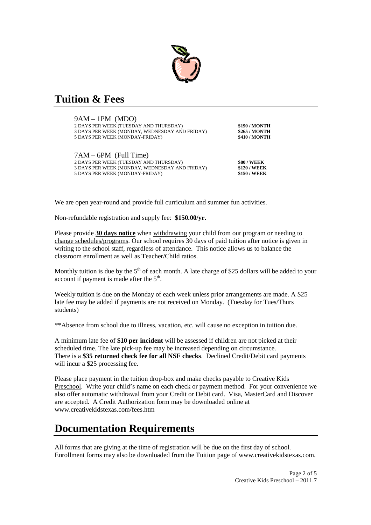

### **Tuition & Fees**

9AM – 1PM (MDO) 2 DAYS PER WEEK (TUESDAY AND THURSDAY) **\$190 / MONTH** 3 DAYS PER WEEK (MONDAY, WEDNESDAY AND FRIDAY) **\$265 / MONTH 5 DAYS PER WEEK (MONDAY-FRIDAY)** 

| $7AM - 6PM$ (Full Time)                        |                     |
|------------------------------------------------|---------------------|
| 2 DAYS PER WEEK (TUESDAY AND THURSDAY).        | <b>\$80 / WEEK</b>  |
| 3 DAYS PER WEEK (MONDAY, WEDNESDAY AND FRIDAY) | <b>\$120 / WEEK</b> |
| 5 DAYS PER WEEK (MONDAY-FRIDAY)                | <b>\$150 / WEEK</b> |
|                                                |                     |

We are open year-round and provide full curriculum and summer fun activities.

Non-refundable registration and supply fee: **\$150.00/yr.** 

Please provide **30 days notice** when withdrawing your child from our program or needing to change schedules/programs. Our school requires 30 days of paid tuition after notice is given in writing to the school staff, regardless of attendance. This notice allows us to balance the classroom enrollment as well as Teacher/Child ratios.

Monthly tuition is due by the  $5<sup>th</sup>$  of each month. A late charge of \$25 dollars will be added to your account if payment is made after the  $5<sup>th</sup>$ .

Weekly tuition is due on the Monday of each week unless prior arrangements are made. A \$25 late fee may be added if payments are not received on Monday. (Tuesday for Tues/Thurs students)

\*\*Absence from school due to illness, vacation, etc. will cause no exception in tuition due.

A minimum late fee of **\$10 per incident** will be assessed if children are not picked at their scheduled time. The late pick-up fee may be increased depending on circumstance. There is a **\$35 returned check fee for all NSF checks**. Declined Credit/Debit card payments will incur a \$25 processing fee.

Please place payment in the tuition drop-box and make checks payable to Creative Kids Preschool. Write your child's name on each check or payment method. For your convenience we also offer automatic withdrawal from your Credit or Debit card. Visa, MasterCard and Discover are accepted. A Credit Authorization form may be downloaded online at www.creativekidstexas.com/fees.htm

### **Documentation Requirements**

All forms that are giving at the time of registration will be due on the first day of school. Enrollment forms may also be downloaded from the Tuition page of www.creativekidstexas.com.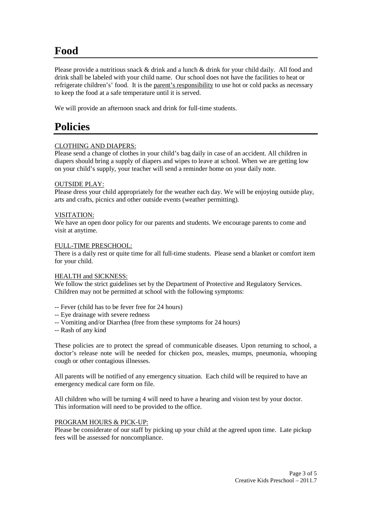### **Food**

Please provide a nutritious snack & drink and a lunch & drink for your child daily. All food and drink shall be labeled with your child name. Our school does not have the facilities to heat or refrigerate children's' food. It is the parent's responsibility to use hot or cold packs as necessary to keep the food at a safe temperature until it is served.

We will provide an afternoon snack and drink for full-time students.

## **Policies**

#### CLOTHING AND DIAPERS:

Please send a change of clothes in your child's bag daily in case of an accident. All children in diapers should bring a supply of diapers and wipes to leave at school. When we are getting low on your child's supply, your teacher will send a reminder home on your daily note.

#### OUTSIDE PLAY:

Please dress your child appropriately for the weather each day. We will be enjoying outside play, arts and crafts, picnics and other outside events (weather permitting).

#### VISITATION:

We have an open door policy for our parents and students. We encourage parents to come and visit at anytime.

#### FULL-TIME PRESCHOOL:

There is a daily rest or quite time for all full-time students. Please send a blanket or comfort item for your child.

#### HEALTH and SICKNESS:

We follow the strict guidelines set by the Department of Protective and Regulatory Services. Children may not be permitted at school with the following symptoms:

- -- Fever (child has to be fever free for 24 hours)
- -- Eye drainage with severe redness
- -- Vomiting and/or Diarrhea (free from these symptoms for 24 hours)
- -- Rash of any kind

These policies are to protect the spread of communicable diseases. Upon returning to school, a doctor's release note will be needed for chicken pox, measles, mumps, pneumonia, whooping cough or other contagious illnesses.

All parents will be notified of any emergency situation. Each child will be required to have an emergency medical care form on file.

All children who will be turning 4 will need to have a hearing and vision test by your doctor. This information will need to be provided to the office.

#### PROGRAM HOURS & PICK-UP:

Please be considerate of our staff by picking up your child at the agreed upon time. Late pickup fees will be assessed for noncompliance.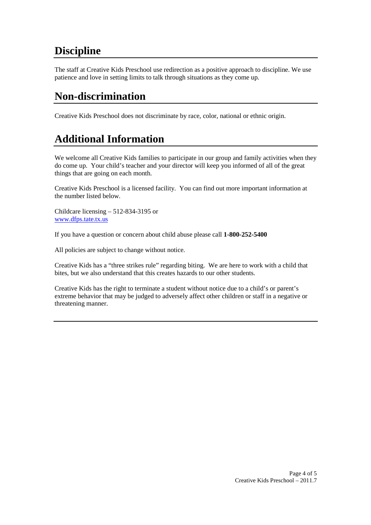## **Discipline**

The staff at Creative Kids Preschool use redirection as a positive approach to discipline. We use patience and love in setting limits to talk through situations as they come up.

## **Non-discrimination**

Creative Kids Preschool does not discriminate by race, color, national or ethnic origin.

# **Additional Information**

We welcome all Creative Kids families to participate in our group and family activities when they do come up. Your child's teacher and your director will keep you informed of all of the great things that are going on each month.

Creative Kids Preschool is a licensed facility. You can find out more important information at the number listed below.

Childcare licensing – 512-834-3195 or www.dfps.tate.tx.us

If you have a question or concern about child abuse please call **1-800-252-5400**

All policies are subject to change without notice.

Creative Kids has a "three strikes rule" regarding biting. We are here to work with a child that bites, but we also understand that this creates hazards to our other students.

Creative Kids has the right to terminate a student without notice due to a child's or parent's extreme behavior that may be judged to adversely affect other children or staff in a negative or threatening manner.